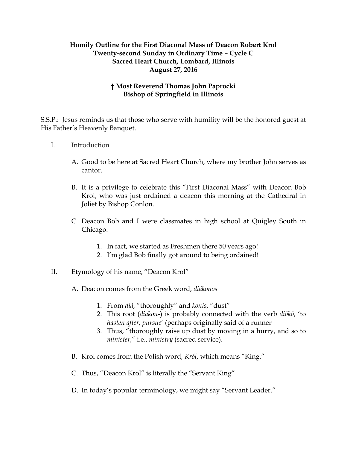## **Homily Outline for the First Diaconal Mass of Deacon Robert Krol Twenty-second Sunday in Ordinary Time – Cycle C Sacred Heart Church, Lombard, Illinois August 27, 2016**

## **† Most Reverend Thomas John Paprocki Bishop of Springfield in Illinois**

S.S.P.: Jesus reminds us that those who serve with humility will be the honored guest at His Father's Heavenly Banquet.

- I. Introduction
	- A. Good to be here at Sacred Heart Church, where my brother John serves as cantor.
	- B. It is a privilege to celebrate this "First Diaconal Mass" with Deacon Bob Krol, who was just ordained a deacon this morning at the Cathedral in Joliet by Bishop Conlon.
	- C. Deacon Bob and I were classmates in high school at Quigley South in Chicago.
		- 1. In fact, we started as Freshmen there 50 years ago!
		- 2. I'm glad Bob finally got around to being ordained!
- II. Etymology of his name, "Deacon Krol"
	- A. Deacon comes from the Greek word, *diákonos*
		- 1. From *diá*, "thoroughly" and *konis*, "dust"
		- 2. This root (*diakon-*) is probably connected with the verb *diōkō*, 'to *hasten after, pursue*' (perhaps originally said of a runner
		- 3. Thus, "thoroughly raise up dust by moving in a hurry, and so to *minister*," i.e., *ministry* (sacred service).
	- B. Krol comes from the Polish word, *Król*, which means "King."
	- C. Thus, "Deacon Krol" is literally the "Servant King"
	- D. In today's popular terminology, we might say "Servant Leader."